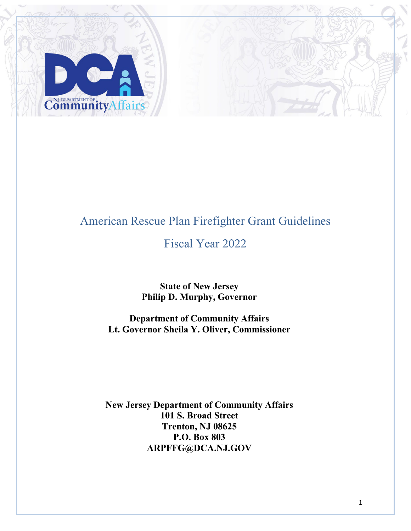

# American Rescue Plan Firefighter Grant Guidelines

## Fiscal Year 2022

**State of New Jersey Philip D. Murphy, Governor**

**Department of Community Affairs Lt. Governor Sheila Y. Oliver, Commissioner**

**New Jersey Department of Community Affairs 101 S. Broad Street Trenton, NJ 08625 P.O. Box 803 ARPFFG@DCA.NJ.GOV**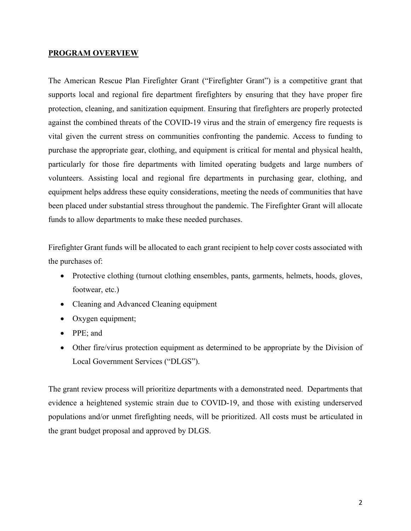#### **PROGRAM OVERVIEW**

The American Rescue Plan Firefighter Grant ("Firefighter Grant") is a competitive grant that supports local and regional fire department firefighters by ensuring that they have proper fire protection, cleaning, and sanitization equipment. Ensuring that firefighters are properly protected against the combined threats of the COVID-19 virus and the strain of emergency fire requests is vital given the current stress on communities confronting the pandemic. Access to funding to purchase the appropriate gear, clothing, and equipment is critical for mental and physical health, particularly for those fire departments with limited operating budgets and large numbers of volunteers. Assisting local and regional fire departments in purchasing gear, clothing, and equipment helps address these equity considerations, meeting the needs of communities that have been placed under substantial stress throughout the pandemic. The Firefighter Grant will allocate funds to allow departments to make these needed purchases.

Firefighter Grant funds will be allocated to each grant recipient to help cover costs associated with the purchases of:

- Protective clothing (turnout clothing ensembles, pants, garments, helmets, hoods, gloves, footwear, etc.)
- Cleaning and Advanced Cleaning equipment
- Oxygen equipment;
- PPE; and
- Other fire/virus protection equipment as determined to be appropriate by the Division of Local Government Services ("DLGS").

The grant review process will prioritize departments with a demonstrated need. Departments that evidence a heightened systemic strain due to COVID-19, and those with existing underserved populations and/or unmet firefighting needs, will be prioritized. All costs must be articulated in the grant budget proposal and approved by DLGS.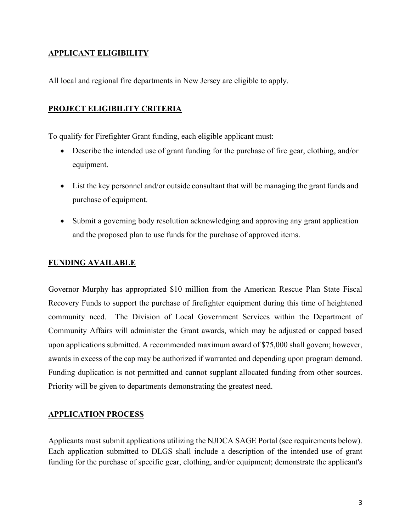### **APPLICANT ELIGIBILITY**

All local and regional fire departments in New Jersey are eligible to apply.

#### **PROJECT ELIGIBILITY CRITERIA**

To qualify for Firefighter Grant funding, each eligible applicant must:

- Describe the intended use of grant funding for the purchase of fire gear, clothing, and/or equipment.
- List the key personnel and/or outside consultant that will be managing the grant funds and purchase of equipment.
- Submit a governing body resolution acknowledging and approving any grant application and the proposed plan to use funds for the purchase of approved items.

#### **FUNDING AVAILABLE**

Governor Murphy has appropriated \$10 million from the American Rescue Plan State Fiscal Recovery Funds to support the purchase of firefighter equipment during this time of heightened community need. The Division of Local Government Services within the Department of Community Affairs will administer the Grant awards, which may be adjusted or capped based upon applications submitted. A recommended maximum award of \$75,000 shall govern; however, awards in excess of the cap may be authorized if warranted and depending upon program demand. Funding duplication is not permitted and cannot supplant allocated funding from other sources. Priority will be given to departments demonstrating the greatest need.

#### **APPLICATION PROCESS**

Applicants must submit applications utilizing the NJDCA SAGE Portal (see requirements below). Each application submitted to DLGS shall include a description of the intended use of grant funding for the purchase of specific gear, clothing, and/or equipment; demonstrate the applicant's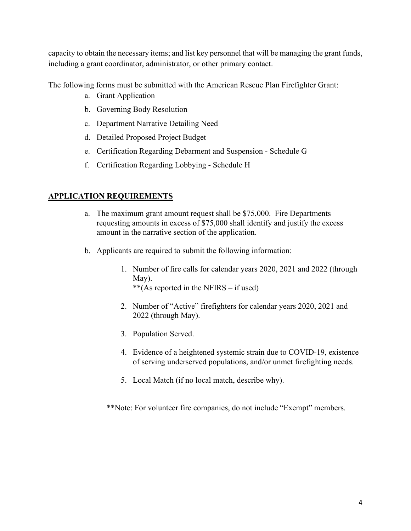capacity to obtain the necessary items; and list key personnel that will be managing the grant funds, including a grant coordinator, administrator, or other primary contact.

The following forms must be submitted with the American Rescue Plan Firefighter Grant:

- a. Grant Application
- b. Governing Body Resolution
- c. Department Narrative Detailing Need
- d. Detailed Proposed Project Budget
- e. Certification Regarding Debarment and Suspension Schedule G
- f. Certification Regarding Lobbying Schedule H

#### **APPLICATION REQUIREMENTS**

- a. The maximum grant amount request shall be \$75,000. Fire Departments requesting amounts in excess of \$75,000 shall identify and justify the excess amount in the narrative section of the application.
- b. Applicants are required to submit the following information:
	- 1. Number of fire calls for calendar years 2020, 2021 and 2022 (through May). \*\*(As reported in the NFIRS – if used)
	- 2. Number of "Active" firefighters for calendar years 2020, 2021 and 2022 (through May).
	- 3. Population Served.
	- 4. Evidence of a heightened systemic strain due to COVID-19, existence of serving underserved populations, and/or unmet firefighting needs.
	- 5. Local Match (if no local match, describe why).

\*\*Note: For volunteer fire companies, do not include "Exempt" members.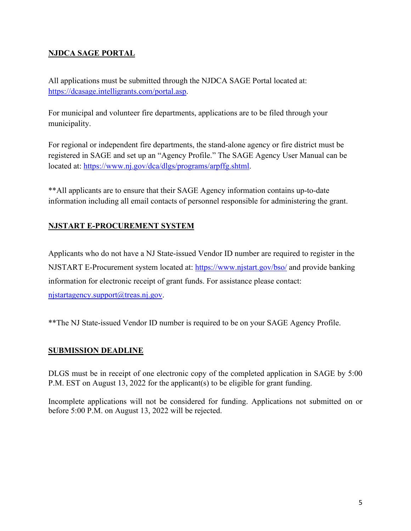## **NJDCA SAGE PORTAL**

All applications must be submitted through the NJDCA SAGE Portal located at: [https://dcasage.intelligrants.com/portal.asp.](https://dcasage.intelligrants.com/portal.asp)

For municipal and volunteer fire departments, applications are to be filed through your municipality.

For regional or independent fire departments, the stand-alone agency or fire district must be registered in SAGE and set up an "Agency Profile." The SAGE Agency User Manual can be located at: [https://www.nj.gov/dca/dlgs/programs/arpffg.shtml.](https://www.nj.gov/dca/dlgs/programs/arpffg.shtml)

\*\*All applicants are to ensure that their SAGE Agency information contains up-to-date information including all email contacts of personnel responsible for administering the grant.

## **NJSTART E-PROCUREMENT SYSTEM**

Applicants who do not have a NJ State-issued Vendor ID number are required to register in the NJSTART E-Procurement system located at: <https://www.njstart.gov/bso/>and provide banking information for electronic receipt of grant funds. For assistance please contact: [njstartagency.support@treas.nj.gov.](mailto:njstartagency.support@treas.nj.gov)

\*\*The NJ State-issued Vendor ID number is required to be on your SAGE Agency Profile.

## **SUBMISSION DEADLINE**

DLGS must be in receipt of one electronic copy of the completed application in SAGE by 5:00 P.M. EST on August 13, 2022 for the applicant(s) to be eligible for grant funding.

Incomplete applications will not be considered for funding. Applications not submitted on or before 5:00 P.M. on August 13, 2022 will be rejected.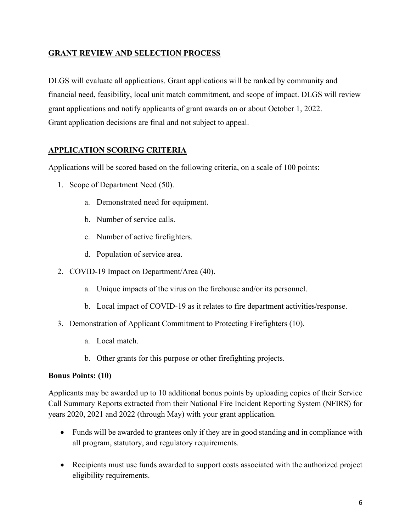#### **GRANT REVIEW AND SELECTION PROCESS**

DLGS will evaluate all applications. Grant applications will be ranked by community and financial need, feasibility, local unit match commitment, and scope of impact. DLGS will review grant applications and notify applicants of grant awards on or about October 1, 2022. Grant application decisions are final and not subject to appeal.

## **APPLICATION SCORING CRITERIA**

Applications will be scored based on the following criteria, on a scale of 100 points:

- 1. Scope of Department Need (50).
	- a. Demonstrated need for equipment.
	- b. Number of service calls.
	- c. Number of active firefighters.
	- d. Population of service area.
- 2. COVID-19 Impact on Department/Area (40).
	- a. Unique impacts of the virus on the firehouse and/or its personnel.
	- b. Local impact of COVID-19 as it relates to fire department activities/response.
- 3. Demonstration of Applicant Commitment to Protecting Firefighters (10).
	- a. Local match.
	- b. Other grants for this purpose or other firefighting projects.

#### **Bonus Points: (10)**

Applicants may be awarded up to 10 additional bonus points by uploading copies of their Service Call Summary Reports extracted from their National Fire Incident Reporting System (NFIRS) for years 2020, 2021 and 2022 (through May) with your grant application.

- Funds will be awarded to grantees only if they are in good standing and in compliance with all program, statutory, and regulatory requirements.
- Recipients must use funds awarded to support costs associated with the authorized project eligibility requirements.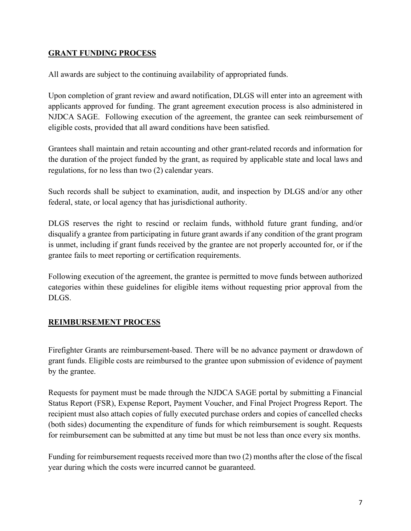#### **GRANT FUNDING PROCESS**

All awards are subject to the continuing availability of appropriated funds.

Upon completion of grant review and award notification, DLGS will enter into an agreement with applicants approved for funding. The grant agreement execution process is also administered in NJDCA SAGE. Following execution of the agreement, the grantee can seek reimbursement of eligible costs, provided that all award conditions have been satisfied.

Grantees shall maintain and retain accounting and other grant-related records and information for the duration of the project funded by the grant, as required by applicable state and local laws and regulations, for no less than two (2) calendar years.

Such records shall be subject to examination, audit, and inspection by DLGS and/or any other federal, state, or local agency that has jurisdictional authority.

DLGS reserves the right to rescind or reclaim funds, withhold future grant funding, and/or disqualify a grantee from participating in future grant awards if any condition of the grant program is unmet, including if grant funds received by the grantee are not properly accounted for, or if the grantee fails to meet reporting or certification requirements.

Following execution of the agreement, the grantee is permitted to move funds between authorized categories within these guidelines for eligible items without requesting prior approval from the DLGS.

## **REIMBURSEMENT PROCESS**

Firefighter Grants are reimbursement-based. There will be no advance payment or drawdown of grant funds. Eligible costs are reimbursed to the grantee upon submission of evidence of payment by the grantee.

Requests for payment must be made through the NJDCA SAGE portal by submitting a Financial Status Report (FSR), Expense Report, Payment Voucher, and Final Project Progress Report. The recipient must also attach copies of fully executed purchase orders and copies of cancelled checks (both sides) documenting the expenditure of funds for which reimbursement is sought. Requests for reimbursement can be submitted at any time but must be not less than once every six months.

Funding for reimbursement requests received more than two (2) months after the close of the fiscal year during which the costs were incurred cannot be guaranteed.